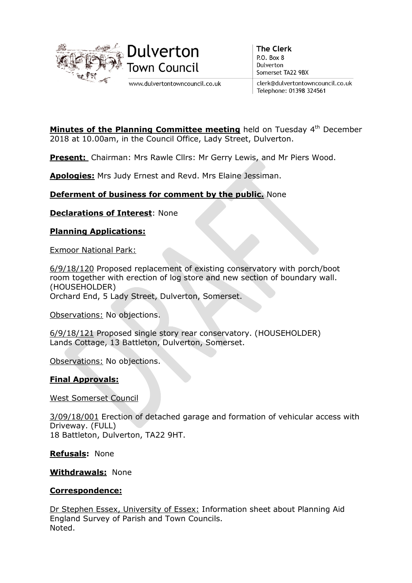

www.dulvertontowncouncil.co.uk

**The Clerk** P.O. Box 8 Dulverton Somerset TA22 9BX

clerk@dulvertontowncouncil.co.uk Telephone: 01398 324561

**Minutes of the Planning Committee meeting** held on Tuesday  $4<sup>th</sup>$  December 2018 at 10.00am, in the Council Office, Lady Street, Dulverton.

**Present:** Chairman: Mrs Rawle Cllrs: Mr Gerry Lewis, and Mr Piers Wood.

Apologies: Mrs Judy Ernest and Revd. Mrs Elaine Jessiman.

## Deferment of business for comment by the public. None

**Declarations of Interest: None** 

## Planning Applications:

Exmoor National Park:

6/9/18/120 Proposed replacement of existing conservatory with porch/boot room together with erection of log store and new section of boundary wall. (HOUSEHOLDER) Orchard End, 5 Lady Street, Dulverton, Somerset.

Observations: No objections.

6/9/18/121 Proposed single story rear conservatory. (HOUSEHOLDER) Lands Cottage, 13 Battleton, Dulverton, Somerset.

Observations: No objections.

## Final Approvals:

West Somerset Council

3/09/18/001 Erection of detached garage and formation of vehicular access with Driveway. (FULL) 18 Battleton, Dulverton, TA22 9HT.

Refusals: None

**Withdrawals: None** 

## Correspondence:

Dr Stephen Essex, University of Essex: Information sheet about Planning Aid England Survey of Parish and Town Councils. Noted.